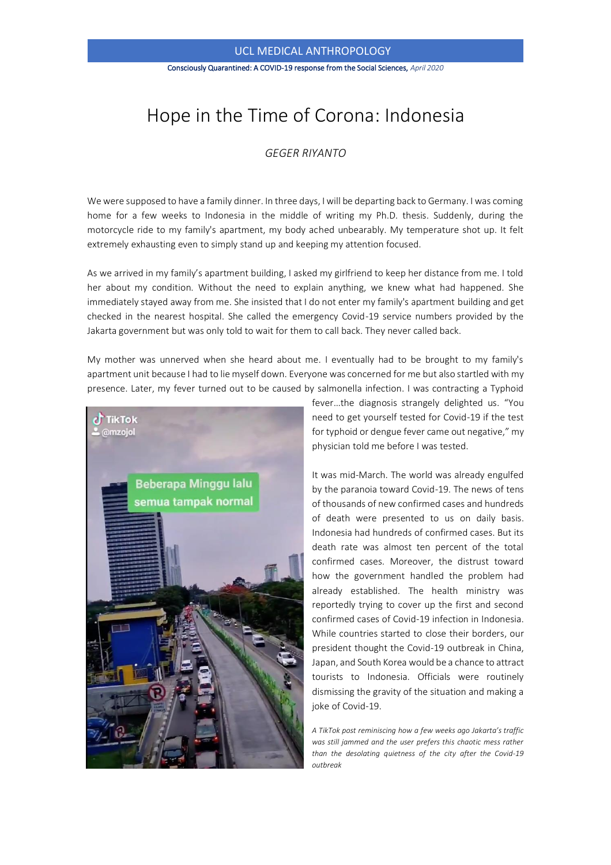## UCL MEDICAL ANTHROPOLOGY

#### Consciously Quarantined: A COVID-19 response from the Social Sciences, *April 2020*

# Hope in the Time of Corona: Indonesia

### *GEGER RIYANTO*

We were supposed to have a family dinner. In three days, I will be departing back to Germany. I was coming home for a few weeks to Indonesia in the middle of writing my Ph.D. thesis. Suddenly, during the motorcycle ride to my family's apartment, my body ached unbearably. My temperature shot up. It felt extremely exhausting even to simply stand up and keeping my attention focused.

As we arrived in my family's apartment building, I asked my girlfriend to keep her distance from me. I told her about my condition. Without the need to explain anything, we knew what had happened. She immediately stayed away from me. She insisted that I do not enter my family's apartment building and get checked in the nearest hospital. She called the emergency Covid-19 service numbers provided by the Jakarta government but was only told to wait for them to call back. They never called back.

My mother was unnerved when she heard about me. I eventually had to be brought to my family's apartment unit because I had to lie myself down. Everyone was concerned for me but also startled with my presence. Later, my fever turned out to be caused by salmonella infection. I was contracting a Typhoid



fever…the diagnosis strangely delighted us. "You need to get yourself tested for Covid-19 if the test for typhoid or dengue fever came out negative," my physician told me before I was tested.

It was mid-March. The world was already engulfed by the paranoia toward Covid-19. The news of tens of thousands of new confirmed cases and hundreds of death were presented to us on daily basis. Indonesia had hundreds of confirmed cases. But its death rate was almost ten percent of the total confirmed cases. Moreover, the distrust toward how the government handled the problem had already established. The health ministry was reportedly trying to cover up the first and second confirmed cases of Covid-19 infection in Indonesia. While countries started to close their borders, our president thought the Covid-19 outbreak in China, Japan, and South Korea would be a chance to attract tourists to Indonesia. Officials were routinely dismissing the gravity of the situation and making a joke of Covid-19.

*A TikTok post reminiscing how a few weeks ago Jakarta's traffic was still jammed and the user prefers this chaotic mess rather than the desolating quietness of the city after the Covid-19 outbreak*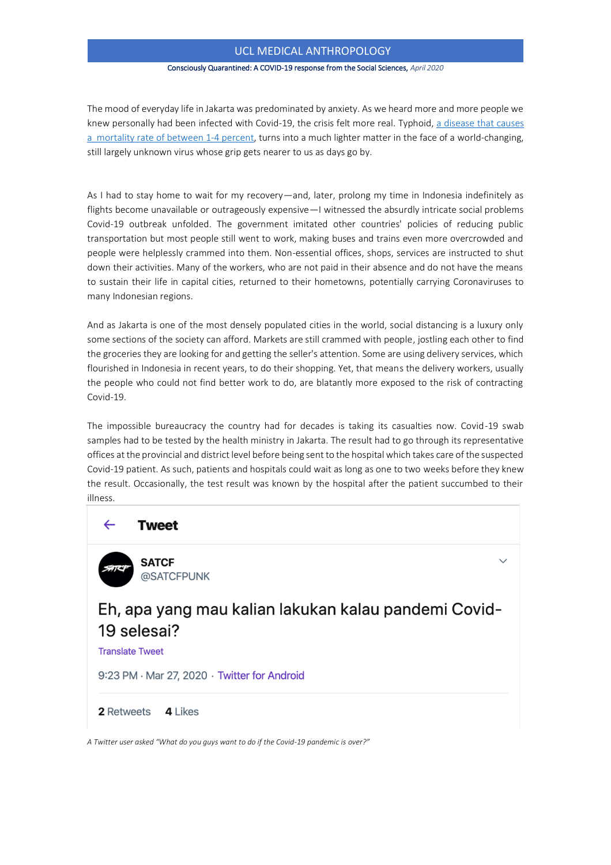## UCL MEDICAL ANTHROPOLOGY

#### Consciously Quarantined: A COVID-19 response from the Social Sciences, *April 2020*

The mood of everyday life in Jakarta was predominated by anxiety. As we heard more and more people we knew personally had been infected with Covid-19, the crisis felt more real. Typhoid, [a disease that causes](https://www.ncbi.nlm.nih.gov/pmc/articles/PMC3484760/)  [a mortality rate of between 1-4 percent,](https://www.ncbi.nlm.nih.gov/pmc/articles/PMC3484760/) turns into a much lighter matter in the face of a world-changing, still largely unknown virus whose grip gets nearer to us as days go by.

As I had to stay home to wait for my recovery—and, later, prolong my time in Indonesia indefinitely as flights become unavailable or outrageously expensive—I witnessed the absurdly intricate social problems Covid-19 outbreak unfolded. The government imitated other countries' policies of reducing public transportation but most people still went to work, making buses and trains even more overcrowded and people were helplessly crammed into them. Non-essential offices, shops, services are instructed to shut down their activities. Many of the workers, who are not paid in their absence and do not have the means to sustain their life in capital cities, returned to their hometowns, potentially carrying Coronaviruses to many Indonesian regions.

And as Jakarta is one of the most densely populated cities in the world, social distancing is a luxury only some sections of the society can afford. Markets are still crammed with people, jostling each other to find the groceries they are looking for and getting the seller's attention. Some are using delivery services, which flourished in Indonesia in recent years, to do their shopping. Yet, that means the delivery workers, usually the people who could not find better work to do, are blatantly more exposed to the risk of contracting Covid-19.

The impossible bureaucracy the country had for decades is taking its casualties now. Covid-19 swab samples had to be tested by the health ministry in Jakarta. The result had to go through its representative offices at the provincial and district level before being sent to the hospital which takes care of the suspected Covid-19 patient. As such, patients and hospitals could wait as long as one to two weeks before they knew the result. Occasionally, the test result was known by the hospital after the patient succumbed to their illness.



*A Twitter user asked "What do you guys want to do if the Covid-19 pandemic is over?"*